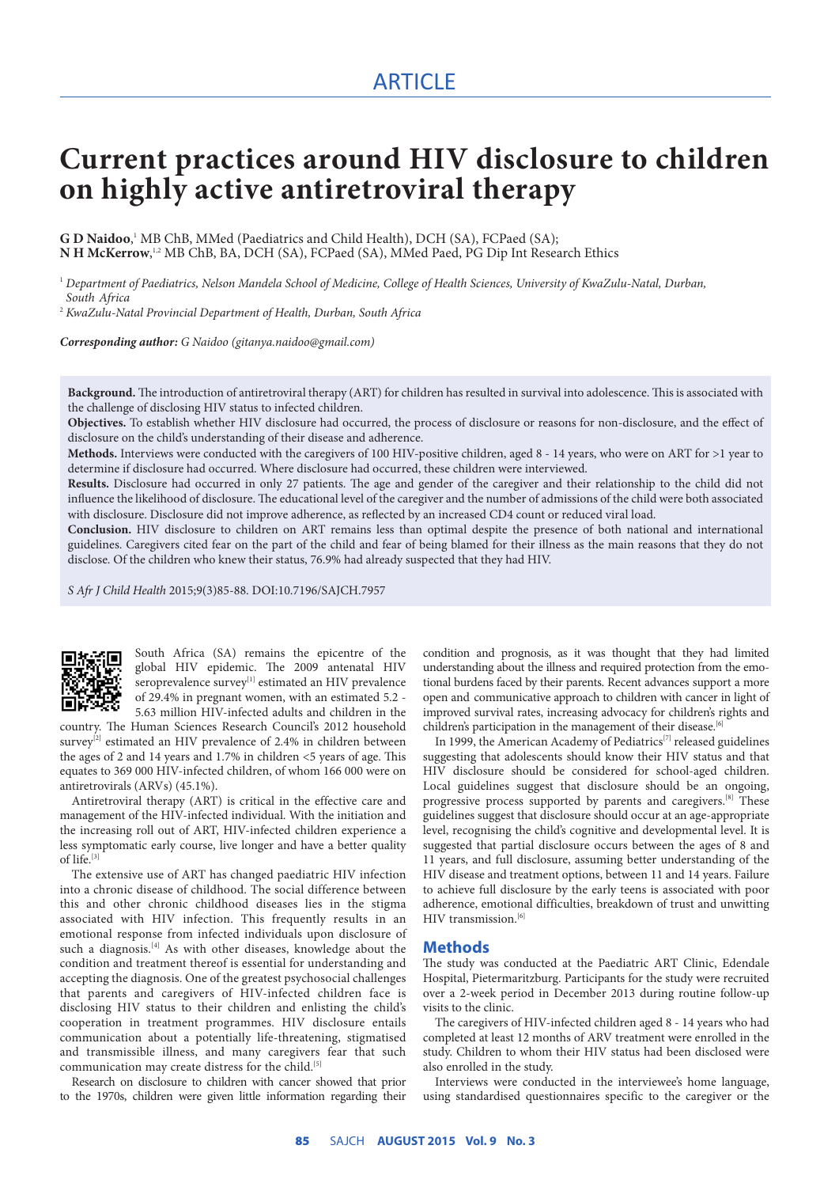# **Current practices around HIV disclosure to children on highly active antiretroviral therapy**

G D Naidoo,<sup>1</sup> MB ChB, MMed (Paediatrics and Child Health), DCH (SA), FCPaed (SA); **N H McKerrow**,<sup>1,2</sup> MB ChB, BA, DCH (SA), FCPaed (SA), MMed Paed, PG Dip Int Research Ethics

<sup>1</sup> *Department of Paediatrics, Nelson Mandela School of Medicine, College of Health Sciences, University of KwaZulu-Natal, Durban, South Africa*

2  *KwaZulu-Natal Provincial Department of Health, Durban, South Africa*

*Corresponding author: G Naidoo (gitanya.naidoo@gmail.com)*

**Background.** The introduction of antiretroviral therapy (ART) for children has resulted in survival into adolescence. This is associated with the challenge of disclosing HIV status to infected children.

**Objectives.** To establish whether HIV disclosure had occurred, the process of disclosure or reasons for non-disclosure, and the effect of disclosure on the child's understanding of their disease and adherence.

**Methods.** Interviews were conducted with the caregivers of 100 HIV-positive children, aged 8 - 14 years, who were on ART for >1 year to determine if disclosure had occurred. Where disclosure had occurred, these children were interviewed.

**Results.** Disclosure had occurred in only 27 patients. The age and gender of the caregiver and their relationship to the child did not influence the likelihood of disclosure. The educational level of the caregiver and the number of admissions of the child were both associated with disclosure. Disclosure did not improve adherence, as reflected by an increased CD4 count or reduced viral load.

**Conclusion.** HIV disclosure to children on ART remains less than optimal despite the presence of both national and international guidelines. Caregivers cited fear on the part of the child and fear of being blamed for their illness as the main reasons that they do not disclose. Of the children who knew their status, 76.9% had already suspected that they had HIV.

*S Afr J Child Health* 2015;9(3)85-88. DOI:10.7196/SAJCH.7957



South Africa (SA) remains the epicentre of the global HIV epidemic. The 2009 antenatal HIV seroprevalence survey<sup>[1]</sup> estimated an HIV prevalence of 29.4% in pregnant women, with an estimated 5.2 - 5.63 million HIV-infected adults and children in the

country. The Human Sciences Research Council's 2012 household survey<sup>[2]</sup> estimated an HIV prevalence of 2.4% in children between the ages of 2 and 14 years and 1.7% in children <5 years of age. This equates to 369 000 HIV-infected children, of whom 166 000 were on antiretrovirals (ARVs) (45.1%).

Antiretroviral therapy (ART) is critical in the effective care and management of the HIV-infected individual. With the initiation and the increasing roll out of ART, HIV-infected children experience a less symptomatic early course, live longer and have a better quality of life.[3]

The extensive use of ART has changed paediatric HIV infection into a chronic disease of childhood. The social difference between this and other chronic childhood diseases lies in the stigma associated with HIV infection. This frequently results in an emotional response from infected individuals upon disclosure of such a diagnosis.<sup>[4]</sup> As with other diseases, knowledge about the condition and treatment thereof is essential for understanding and accepting the diagnosis. One of the greatest psychosocial challenges that parents and caregivers of HIV-infected children face is disclosing HIV status to their children and enlisting the child's cooperation in treatment programmes. HIV disclosure entails communication about a potentially life-threatening, stigmatised and transmissible illness, and many caregivers fear that such communication may create distress for the child.<sup>[5]</sup>

Research on disclosure to children with cancer showed that prior to the 1970s, children were given little information regarding their condition and prognosis, as it was thought that they had limited understanding about the illness and required protection from the emotional burdens faced by their parents. Recent advances support a more open and communicative approach to children with cancer in light of improved survival rates, increasing advocacy for children's rights and children's participation in the management of their disease.<sup>[6]</sup>

In 1999, the American Academy of Pediatrics<sup>[7]</sup> released guidelines suggesting that adolescents should know their HIV status and that HIV disclosure should be considered for school-aged children. Local guidelines suggest that disclosure should be an ongoing, progressive process supported by parents and caregivers.<sup>[8]</sup> These guidelines suggest that disclosure should occur at an age-appropriate level, recognising the child's cognitive and developmental level. It is suggested that partial disclosure occurs between the ages of 8 and 11 years, and full disclosure, assuming better understanding of the HIV disease and treatment options, between 11 and 14 years. Failure to achieve full disclosure by the early teens is associated with poor adherence, emotional difficulties, breakdown of trust and unwitting HIV transmission.<sup>[6]</sup>

## **Methods**

The study was conducted at the Paediatric ART Clinic, Edendale Hospital, Pietermaritzburg. Participants for the study were recruited over a 2-week period in December 2013 during routine follow-up visits to the clinic.

The caregivers of HIV-infected children aged 8 - 14 years who had completed at least 12 months of ARV treatment were enrolled in the study. Children to whom their HIV status had been disclosed were also enrolled in the study.

Interviews were conducted in the interviewee's home language, using standardised questionnaires specific to the caregiver or the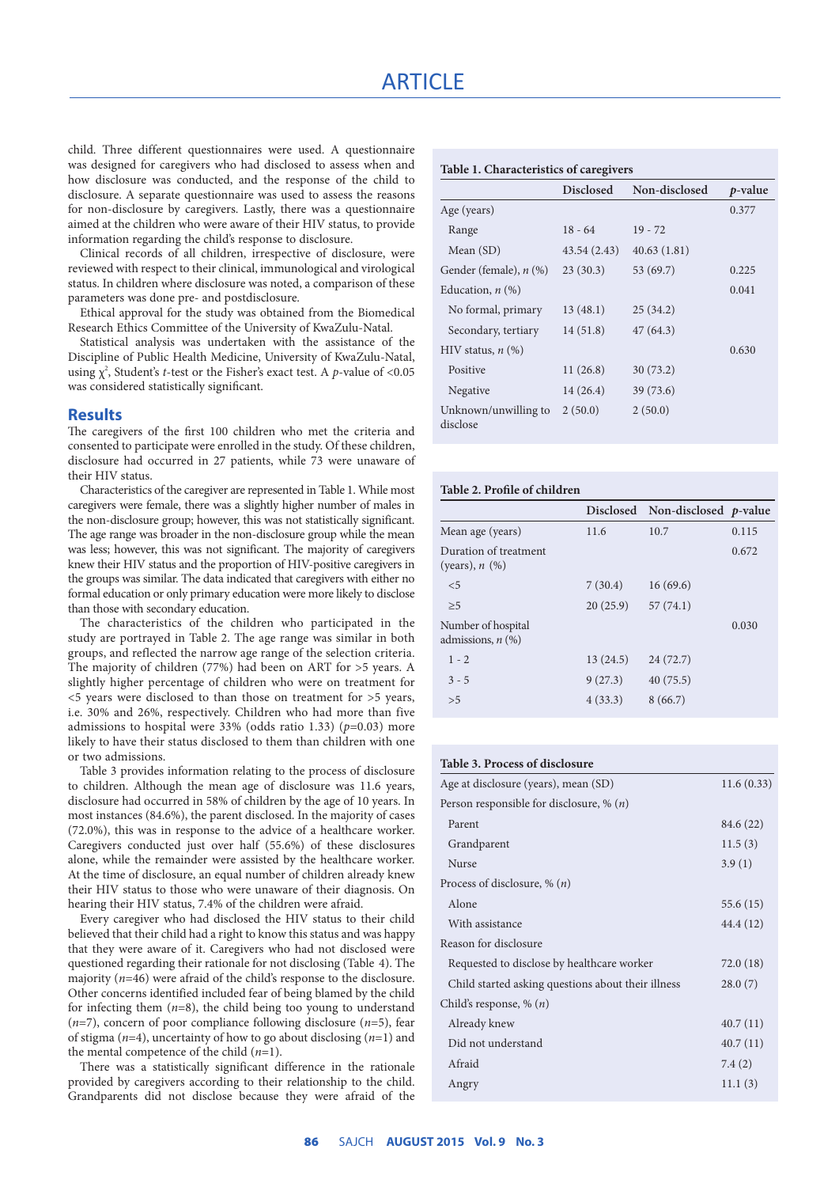child. Three different questionnaires were used. A questionnaire was designed for caregivers who had disclosed to assess when and how disclosure was conducted, and the response of the child to disclosure. A separate questionnaire was used to assess the reasons for non-disclosure by caregivers. Lastly, there was a questionnaire aimed at the children who were aware of their HIV status, to provide information regarding the child's response to disclosure.

Clinical records of all children, irrespective of disclosure, were reviewed with respect to their clinical, immunological and virological status. In children where disclosure was noted, a comparison of these parameters was done pre- and postdisclosure.

Ethical approval for the study was obtained from the Biomedical Research Ethics Committee of the University of KwaZulu-Natal.

Statistical analysis was undertaken with the assistance of the Discipline of Public Health Medicine, University of KwaZulu-Natal, using  $\chi^2$ , Student's *t*-test or the Fisher's exact test. A *p*-value of <0.05 was considered statistically significant.

## **Results**

The caregivers of the first 100 children who met the criteria and consented to participate were enrolled in the study. Of these children, disclosure had occurred in 27 patients, while 73 were unaware of their HIV status.

Characteristics of the caregiver are represented in Table 1. While most caregivers were female, there was a slightly higher number of males in the non-disclosure group; however, this was not statistically significant. The age range was broader in the non-disclosure group while the mean was less; however, this was not significant. The majority of caregivers knew their HIV status and the proportion of HIV-positive caregivers in the groups was similar. The data indicated that caregivers with either no formal education or only primary education were more likely to disclose than those with secondary education.

The characteristics of the children who participated in the study are portrayed in Table 2. The age range was similar in both groups, and reflected the narrow age range of the selection criteria. The majority of children (77%) had been on ART for >5 years. A slightly higher percentage of children who were on treatment for <5 years were disclosed to than those on treatment for >5 years, i.e. 30% and 26%, respectively. Children who had more than five admissions to hospital were 33% (odds ratio 1.33) (*p*=0.03) more likely to have their status disclosed to them than children with one or two admissions.

Table 3 provides information relating to the process of disclosure to children. Although the mean age of disclosure was 11.6 years, disclosure had occurred in 58% of children by the age of 10 years. In most instances (84.6%), the parent disclosed. In the majority of cases (72.0%), this was in response to the advice of a healthcare worker. Caregivers conducted just over half (55.6%) of these disclosures alone, while the remainder were assisted by the healthcare worker. At the time of disclosure, an equal number of children already knew their HIV status to those who were unaware of their diagnosis. On hearing their HIV status, 7.4% of the children were afraid.

Every caregiver who had disclosed the HIV status to their child believed that their child had a right to know this status and was happy that they were aware of it. Caregivers who had not disclosed were questioned regarding their rationale for not disclosing (Table 4). The majority  $(n=46)$  were afraid of the child's response to the disclosure. Other concerns identified included fear of being blamed by the child for infecting them (*n*=8), the child being too young to understand (*n*=7), concern of poor compliance following disclosure (*n*=5), fear of stigma (*n*=4), uncertainty of how to go about disclosing (*n*=1) and the mental competence of the child (*n*=1).

There was a statistically significant difference in the rationale provided by caregivers according to their relationship to the child. Grandparents did not disclose because they were afraid of the

|  | Table 1. Characteristics of caregivers |  |
|--|----------------------------------------|--|
|--|----------------------------------------|--|

|                                  | <b>Disclosed</b> | Non-disclosed | $p$ -value |  |
|----------------------------------|------------------|---------------|------------|--|
| Age (years)                      |                  |               | 0.377      |  |
| Range                            | $18 - 64$        | $19 - 72$     |            |  |
| Mean (SD)                        | 43.54(2.43)      | 40.63(1.81)   |            |  |
| Gender (female), n (%)           | 23(30.3)         | 53 (69.7)     | 0.225      |  |
| Education, $n$ $(\%)$            |                  |               | 0.041      |  |
| No formal, primary               | 13(48.1)         | 25(34.2)      |            |  |
| Secondary, tertiary              | 14(51.8)         | 47(64.3)      |            |  |
| HIV status, $n$ (%)              |                  |               | 0.630      |  |
| Positive                         | 11(26.8)         | 30(73.2)      |            |  |
| Negative                         | 14(26.4)         | 39(73.6)      |            |  |
| Unknown/unwilling to<br>disclose | 2(50.0)          | 2(50.0)       |            |  |

### **Table 2. Profile of children**

|                                              |          | Disclosed Non-disclosed p-value |       |
|----------------------------------------------|----------|---------------------------------|-------|
| Mean age (years)                             | 11.6     | 10.7                            | 0.115 |
| Duration of treatment<br>(years), $n$ $(\%)$ |          |                                 | 0.672 |
| $\leq$                                       | 7(30.4)  | 16(69.6)                        |       |
| >5                                           | 20(25.9) | 57(74.1)                        |       |
| Number of hospital<br>admissions, $n$ $(\%)$ |          |                                 | 0.030 |
| $1 - 2$                                      | 13(24.5) | 24(72.7)                        |       |
| $3 - 5$                                      | 9(27.3)  | 40(75.5)                        |       |
| > 5                                          | 4(33.3)  | 8(66.7)                         |       |
|                                              |          |                                 |       |

# **Table 3. Process of disclosure**

| Age at disclosure (years), mean (SD)                 | 11.6(0.33) |
|------------------------------------------------------|------------|
| Person responsible for disclosure, $\%$ ( <i>n</i> ) |            |
| Parent                                               | 84.6 (22)  |
| Grandparent                                          | 11.5(3)    |
| <b>Nurse</b>                                         | 3.9(1)     |
| Process of disclosure, $\%$ ( <i>n</i> )             |            |
| Alone                                                | 55.6 (15)  |
| With assistance                                      | 44.4 (12)  |
| Reason for disclosure                                |            |
| Requested to disclose by healthcare worker           | 72.0 (18)  |
| Child started asking questions about their illness   | 28.0(7)    |
| Child's response, $\%$ $(n)$                         |            |
| Already knew                                         | 40.7(11)   |
| Did not understand                                   | 40.7(11)   |
| Afraid                                               | 7.4(2)     |
| Angry                                                | 11.1(3)    |
|                                                      |            |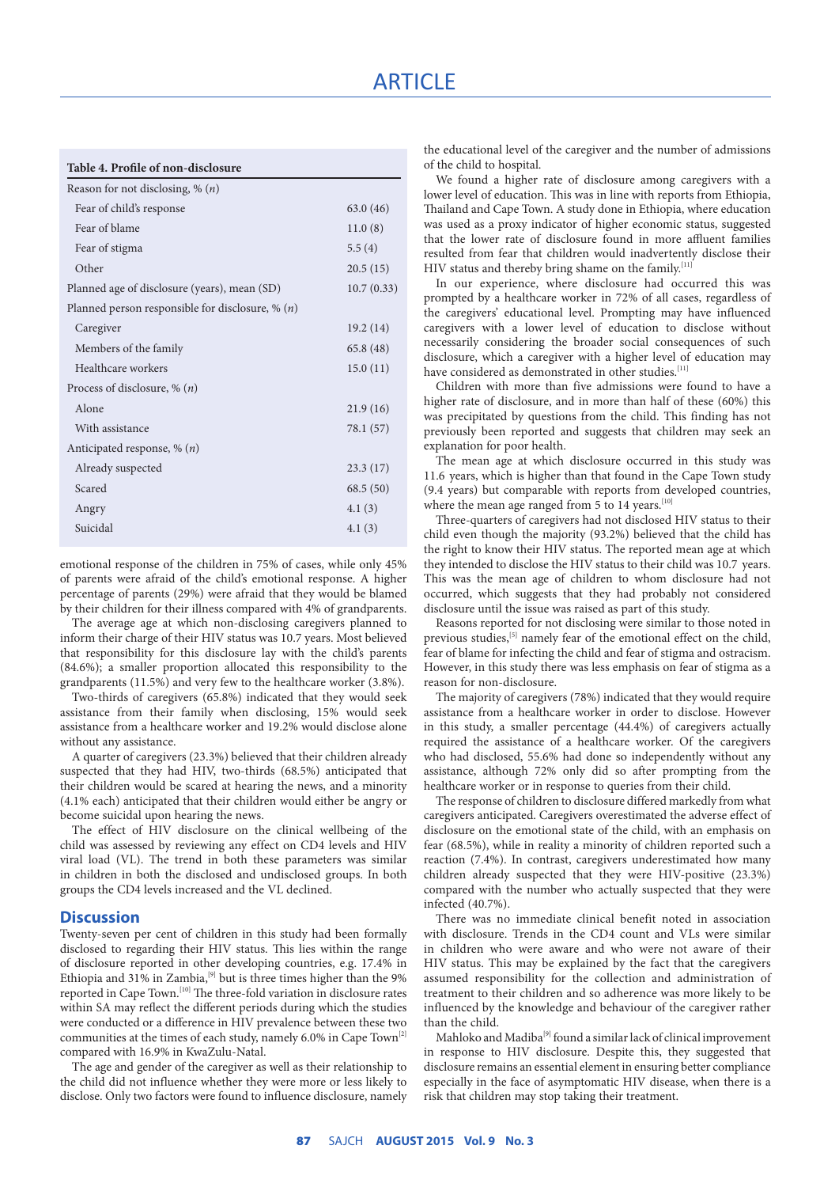#### **Table 4. Profile of non-disclosure**

| Reason for not disclosing, % $(n)$                 |            |
|----------------------------------------------------|------------|
| Fear of child's response                           | 63.0(46)   |
| Fear of blame                                      | 11.0(8)    |
| Fear of stigma                                     | 5.5(4)     |
| Other                                              | 20.5(15)   |
| Planned age of disclosure (years), mean (SD)       | 10.7(0.33) |
| Planned person responsible for disclosure, % $(n)$ |            |
| Caregiver                                          | 19.2(14)   |
| Members of the family                              | 65.8 (48)  |
| Healthcare workers                                 | 15.0(11)   |
| Process of disclosure, $\%$ ( <i>n</i> )           |            |
| Alone                                              | 21.9(16)   |
| With assistance                                    | 78.1 (57)  |
| Anticipated response, $\%$ ( <i>n</i> )            |            |
| Already suspected                                  | 23.3(17)   |
| Scared                                             | 68.5(50)   |
| Angry                                              | 4.1(3)     |
| Suicidal                                           | 4.1(3)     |

emotional response of the children in 75% of cases, while only 45% of parents were afraid of the child's emotional response. A higher percentage of parents (29%) were afraid that they would be blamed by their children for their illness compared with 4% of grandparents.

The average age at which non-disclosing caregivers planned to inform their charge of their HIV status was 10.7 years. Most believed that responsibility for this disclosure lay with the child's parents (84.6%); a smaller proportion allocated this responsibility to the grandparents (11.5%) and very few to the healthcare worker (3.8%).

Two-thirds of caregivers (65.8%) indicated that they would seek assistance from their family when disclosing, 15% would seek assistance from a healthcare worker and 19.2% would disclose alone without any assistance.

A quarter of caregivers (23.3%) believed that their children already suspected that they had HIV, two-thirds (68.5%) anticipated that their children would be scared at hearing the news, and a minority (4.1% each) anticipated that their children would either be angry or become suicidal upon hearing the news.

The effect of HIV disclosure on the clinical wellbeing of the child was assessed by reviewing any effect on CD4 levels and HIV viral load (VL). The trend in both these parameters was similar in children in both the disclosed and undisclosed groups. In both groups the CD4 levels increased and the VL declined.

## **Discussion**

Twenty-seven per cent of children in this study had been formally disclosed to regarding their HIV status. This lies within the range of disclosure reported in other developing countries, e.g. 17.4% in Ethiopia and  $31\%$  in Zambia,<sup>[9]</sup> but is three times higher than the 9% reported in Cape Town.[10] The three-fold variation in disclosure rates within SA may reflect the different periods during which the studies were conducted or a difference in HIV prevalence between these two communities at the times of each study, namely  $6.0\%$  in Cape Town<sup>[2]</sup> compared with 16.9% in KwaZulu-Natal.

The age and gender of the caregiver as well as their relationship to the child did not influence whether they were more or less likely to disclose. Only two factors were found to influence disclosure, namely

the educational level of the caregiver and the number of admissions of the child to hospital.

We found a higher rate of disclosure among caregivers with a lower level of education. This was in line with reports from Ethiopia, Thailand and Cape Town. A study done in Ethiopia, where education was used as a proxy indicator of higher economic status, suggested that the lower rate of disclosure found in more affluent families resulted from fear that children would inadvertently disclose their HIV status and thereby bring shame on the family.<sup>[11]</sup>

In our experience, where disclosure had occurred this was prompted by a healthcare worker in 72% of all cases, regardless of the caregivers' educational level. Prompting may have influenced caregivers with a lower level of education to disclose without necessarily considering the broader social consequences of such disclosure, which a caregiver with a higher level of education may have considered as demonstrated in other studies.<sup>[11]</sup>

Children with more than five admissions were found to have a higher rate of disclosure, and in more than half of these (60%) this was precipitated by questions from the child. This finding has not previously been reported and suggests that children may seek an explanation for poor health.

The mean age at which disclosure occurred in this study was 11.6 years, which is higher than that found in the Cape Town study (9.4 years) but comparable with reports from developed countries, where the mean age ranged from 5 to 14 years.  $[10]$ 

Three-quarters of caregivers had not disclosed HIV status to their child even though the majority (93.2%) believed that the child has the right to know their HIV status. The reported mean age at which they intended to disclose the HIV status to their child was 10.7 years. This was the mean age of children to whom disclosure had not occurred, which suggests that they had probably not considered disclosure until the issue was raised as part of this study.

Reasons reported for not disclosing were similar to those noted in previous studies,<sup>[5]</sup> namely fear of the emotional effect on the child, fear of blame for infecting the child and fear of stigma and ostracism. However, in this study there was less emphasis on fear of stigma as a reason for non-disclosure.

The majority of caregivers (78%) indicated that they would require assistance from a healthcare worker in order to disclose. However in this study, a smaller percentage (44.4%) of caregivers actually required the assistance of a healthcare worker. Of the caregivers who had disclosed, 55.6% had done so independently without any assistance, although 72% only did so after prompting from the healthcare worker or in response to queries from their child.

The response of children to disclosure differed markedly from what caregivers anticipated. Caregivers overestimated the adverse effect of disclosure on the emotional state of the child, with an emphasis on fear (68.5%), while in reality a minority of children reported such a reaction (7.4%). In contrast, caregivers underestimated how many children already suspected that they were HIV-positive (23.3%) compared with the number who actually suspected that they were infected (40.7%).

There was no immediate clinical benefit noted in association with disclosure. Trends in the CD4 count and VLs were similar in children who were aware and who were not aware of their HIV status. This may be explained by the fact that the caregivers assumed responsibility for the collection and administration of treatment to their children and so adherence was more likely to be influenced by the knowledge and behaviour of the caregiver rather than the child.

Mahloko and Madiba<sup>[9]</sup> found a similar lack of clinical improvement in response to HIV disclosure. Despite this, they suggested that disclosure remains an essential element in ensuring better compliance especially in the face of asymptomatic HIV disease, when there is a risk that children may stop taking their treatment.